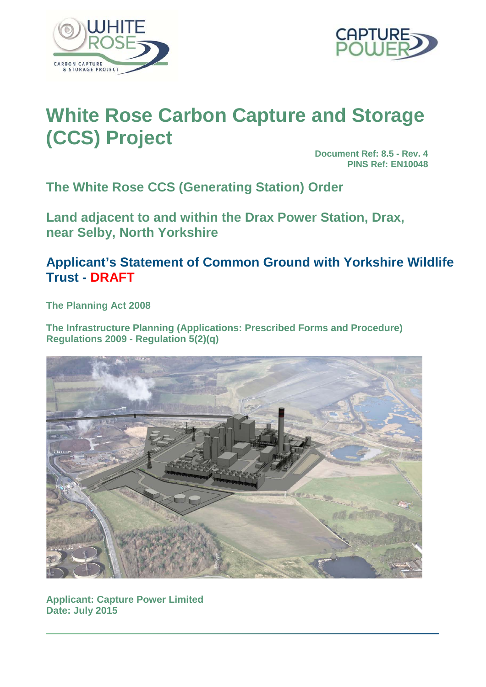



# **White Rose Carbon Capture and Storage (CCS) Project**

**Document Ref: 8.5 - Rev. 4 PINS Ref: EN10048**

**The White Rose CCS (Generating Station) Order**

**Land adjacent to and within the Drax Power Station, Drax, near Selby, North Yorkshire**

# **Applicant's Statement of Common Ground with Yorkshire Wildlife Trust - DRAFT**

**The Planning Act 2008**

**The Infrastructure Planning (Applications: Prescribed Forms and Procedure) Regulations 2009 - Regulation 5(2)(q)**



**Applicant: Capture Power Limited Date: July 2015**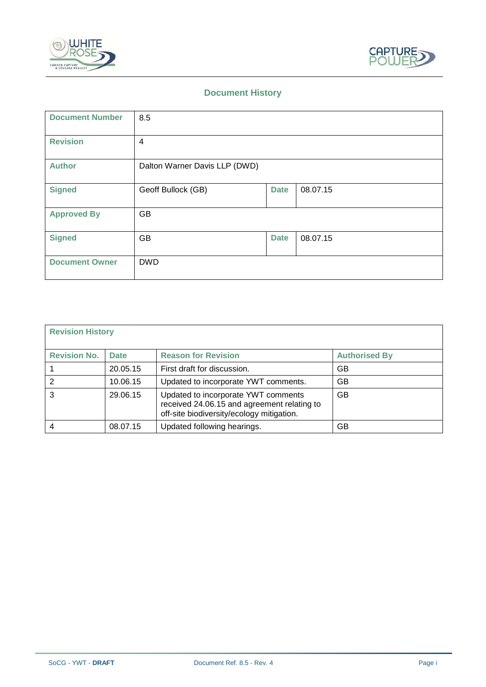



# **Document History**

| <b>Document Number</b> | 8.5                           |             |          |
|------------------------|-------------------------------|-------------|----------|
| <b>Revision</b>        | 4                             |             |          |
| <b>Author</b>          | Dalton Warner Davis LLP (DWD) |             |          |
| <b>Signed</b>          | Geoff Bullock (GB)            | <b>Date</b> | 08.07.15 |
| <b>Approved By</b>     | <b>GB</b>                     |             |          |
| <b>Signed</b>          | <b>GB</b>                     | <b>Date</b> | 08.07.15 |
| <b>Document Owner</b>  | <b>DWD</b>                    |             |          |

| <b>Revision History</b> |             |                                                                                                                                 |                      |
|-------------------------|-------------|---------------------------------------------------------------------------------------------------------------------------------|----------------------|
| <b>Revision No.</b>     | <b>Date</b> | <b>Reason for Revision</b>                                                                                                      | <b>Authorised By</b> |
|                         | 20.05.15    | First draft for discussion.                                                                                                     | GВ                   |
|                         | 10.06.15    | Updated to incorporate YWT comments.                                                                                            | GB                   |
| 3                       | 29.06.15    | Updated to incorporate YWT comments<br>received 24.06.15 and agreement relating to<br>off-site biodiversity/ecology mitigation. | <b>GB</b>            |
|                         | 08.07.15    | Updated following hearings.                                                                                                     | GВ                   |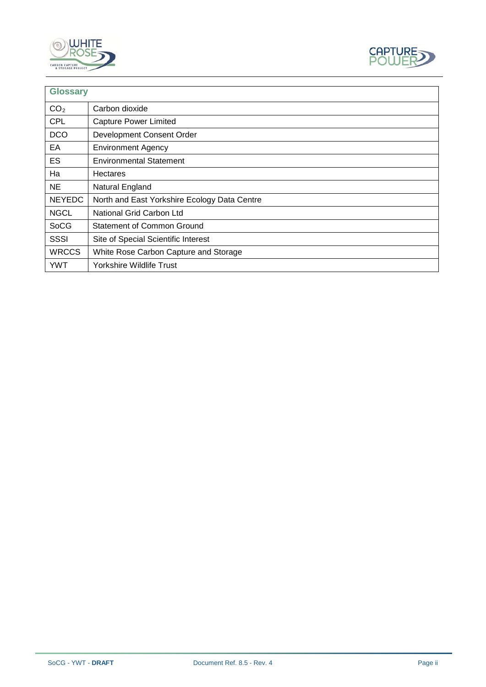



| <b>Glossary</b> |                                              |
|-----------------|----------------------------------------------|
| CO <sub>2</sub> | Carbon dioxide                               |
| <b>CPL</b>      | <b>Capture Power Limited</b>                 |
| <b>DCO</b>      | Development Consent Order                    |
| EA              | <b>Environment Agency</b>                    |
| <b>ES</b>       | <b>Environmental Statement</b>               |
| Ha              | Hectares                                     |
| <b>NE</b>       | Natural England                              |
| <b>NEYEDC</b>   | North and East Yorkshire Ecology Data Centre |
| <b>NGCL</b>     | National Grid Carbon Ltd                     |
| <b>SoCG</b>     | <b>Statement of Common Ground</b>            |
| SSSI            | Site of Special Scientific Interest          |
| <b>WRCCS</b>    | White Rose Carbon Capture and Storage        |
| <b>YWT</b>      | Yorkshire Wildlife Trust                     |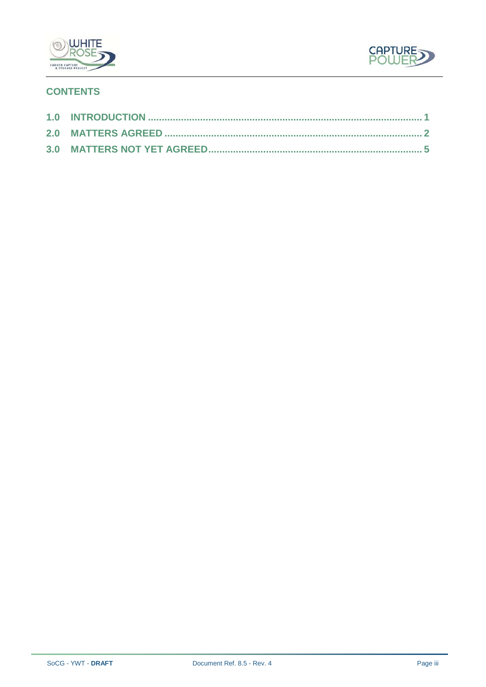



# **CONTENTS**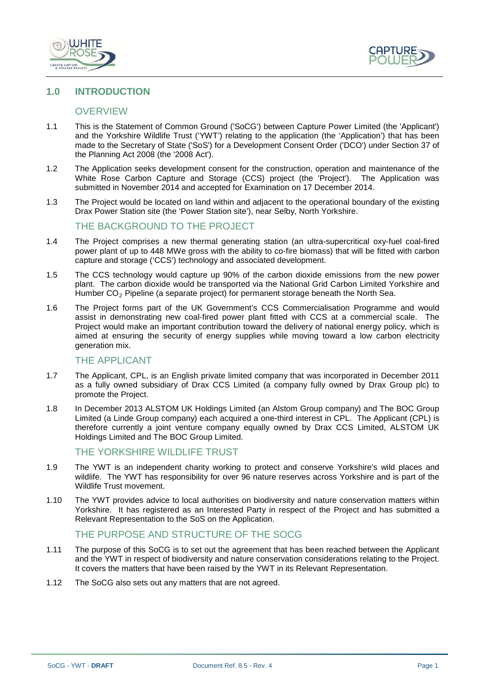



#### <span id="page-4-0"></span>**1.0 INTRODUCTION**

#### **OVERVIEW**

- 1.1 This is the Statement of Common Ground ('SoCG') between Capture Power Limited (the 'Applicant') and the Yorkshire Wildlife Trust ('YWT') relating to the application (the 'Application') that has been made to the Secretary of State ('SoS') for a Development Consent Order ('DCO') under Section 37 of the Planning Act 2008 (the '2008 Act').
- 1.2 The Application seeks development consent for the construction, operation and maintenance of the White Rose Carbon Capture and Storage (CCS) project (the 'Project'). The Application was submitted in November 2014 and accepted for Examination on 17 December 2014.
- 1.3 The Project would be located on land within and adjacent to the operational boundary of the existing Drax Power Station site (the 'Power Station site'), near Selby, North Yorkshire.

#### THE BACKGROUND TO THE PROJECT

- 1.4 The Project comprises a new thermal generating station (an ultra-supercritical oxy-fuel coal-fired power plant of up to 448 MWe gross with the ability to co-fire biomass) that will be fitted with carbon capture and storage ('CCS') technology and associated development.
- 1.5 The CCS technology would capture up 90% of the carbon dioxide emissions from the new power plant. The carbon dioxide would be transported via the National Grid Carbon Limited Yorkshire and Humber  $CO<sub>2</sub>$  Pipeline (a separate project) for permanent storage beneath the North Sea.
- 1.6 The Project forms part of the UK Government's CCS Commercialisation Programme and would assist in demonstrating new coal-fired power plant fitted with CCS at a commercial scale. The Project would make an important contribution toward the delivery of national energy policy, which is aimed at ensuring the security of energy supplies while moving toward a low carbon electricity generation mix.

#### THE APPLICANT

- 1.7 The Applicant, CPL, is an English private limited company that was incorporated in December 2011 as a fully owned subsidiary of Drax CCS Limited (a company fully owned by Drax Group plc) to promote the Project.
- 1.8 In December 2013 ALSTOM UK Holdings Limited (an Alstom Group company) and The BOC Group Limited (a Linde Group company) each acquired a one-third interest in CPL. The Applicant (CPL) is therefore currently a joint venture company equally owned by Drax CCS Limited, ALSTOM UK Holdings Limited and The BOC Group Limited.

#### THE YORKSHIRE WILDLIFE TRUST

- 1.9 The YWT is an independent charity working to protect and conserve Yorkshire's wild places and wildlife. The YWT has responsibility for over 96 nature reserves across Yorkshire and is part of the Wildlife Trust movement.
- 1.10 The YWT provides advice to local authorities on biodiversity and nature conservation matters within Yorkshire. It has registered as an Interested Party in respect of the Project and has submitted a Relevant Representation to the SoS on the Application.

#### THE PURPOSE AND STRUCTURE OF THE SOCG

- 1.11 The purpose of this SoCG is to set out the agreement that has been reached between the Applicant and the YWT in respect of biodiversity and nature conservation considerations relating to the Project. It covers the matters that have been raised by the YWT in its Relevant Representation.
- 1.12 The SoCG also sets out any matters that are not agreed.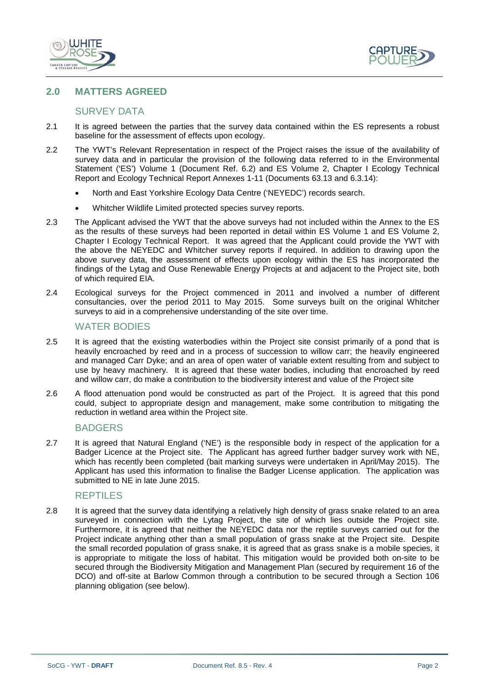



# <span id="page-5-0"></span>**2.0 MATTERS AGREED**

### SURVEY DATA

- 2.1 It is agreed between the parties that the survey data contained within the ES represents a robust baseline for the assessment of effects upon ecology.
- 2.2 The YWT's Relevant Representation in respect of the Project raises the issue of the availability of survey data and in particular the provision of the following data referred to in the Environmental Statement ('ES') Volume 1 (Document Ref. 6.2) and ES Volume 2, Chapter I Ecology Technical Report and Ecology Technical Report Annexes 1-11 (Documents 63.13 and 6.3.14):
	- North and East Yorkshire Ecology Data Centre ('NEYEDC') records search.
	- Whitcher Wildlife Limited protected species survey reports.
- 2.3 The Applicant advised the YWT that the above surveys had not included within the Annex to the ES as the results of these surveys had been reported in detail within ES Volume 1 and ES Volume 2, Chapter I Ecology Technical Report. It was agreed that the Applicant could provide the YWT with the above the NEYEDC and Whitcher survey reports if required. In addition to drawing upon the above survey data, the assessment of effects upon ecology within the ES has incorporated the findings of the Lytag and Ouse Renewable Energy Projects at and adjacent to the Project site, both of which required EIA.
- 2.4 Ecological surveys for the Project commenced in 2011 and involved a number of different consultancies, over the period 2011 to May 2015. Some surveys built on the original Whitcher surveys to aid in a comprehensive understanding of the site over time.

#### WATER BODIES

- 2.5 It is agreed that the existing waterbodies within the Project site consist primarily of a pond that is heavily encroached by reed and in a process of succession to willow carr; the heavily engineered and managed Carr Dyke; and an area of open water of variable extent resulting from and subject to use by heavy machinery. It is agreed that these water bodies, including that encroached by reed and willow carr, do make a contribution to the biodiversity interest and value of the Project site
- 2.6 A flood attenuation pond would be constructed as part of the Project. It is agreed that this pond could, subject to appropriate design and management, make some contribution to mitigating the reduction in wetland area within the Project site.

#### BADGERS

2.7 It is agreed that Natural England ('NE') is the responsible body in respect of the application for a Badger Licence at the Project site. The Applicant has agreed further badger survey work with NE, which has recently been completed (bait marking surveys were undertaken in April/May 2015). The Applicant has used this information to finalise the Badger License application. The application was submitted to NE in late June 2015.

#### REPTILES

2.8 It is agreed that the survey data identifying a relatively high density of grass snake related to an area surveyed in connection with the Lytag Project, the site of which lies outside the Project site. Furthermore, it is agreed that neither the NEYEDC data nor the reptile surveys carried out for the Project indicate anything other than a small population of grass snake at the Project site. Despite the small recorded population of grass snake, it is agreed that as grass snake is a mobile species, it is appropriate to mitigate the loss of habitat. This mitigation would be provided both on-site to be secured through the Biodiversity Mitigation and Management Plan (secured by requirement 16 of the DCO) and off-site at Barlow Common through a contribution to be secured through a Section 106 planning obligation (see below).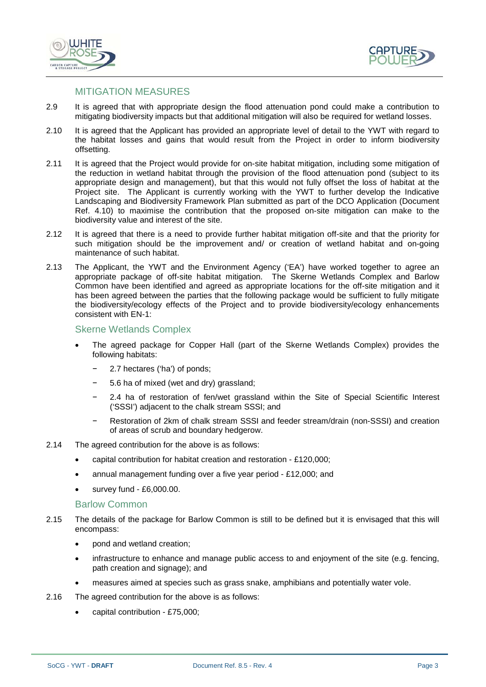



# MITIGATION MEASURES

- 2.9 It is agreed that with appropriate design the flood attenuation pond could make a contribution to mitigating biodiversity impacts but that additional mitigation will also be required for wetland losses.
- 2.10 It is agreed that the Applicant has provided an appropriate level of detail to the YWT with regard to the habitat losses and gains that would result from the Project in order to inform biodiversity offsetting.
- 2.11 It is agreed that the Project would provide for on-site habitat mitigation, including some mitigation of the reduction in wetland habitat through the provision of the flood attenuation pond (subject to its appropriate design and management), but that this would not fully offset the loss of habitat at the Project site. The Applicant is currently working with the YWT to further develop the Indicative Landscaping and Biodiversity Framework Plan submitted as part of the DCO Application (Document Ref. 4.10) to maximise the contribution that the proposed on-site mitigation can make to the biodiversity value and interest of the site.
- 2.12 It is agreed that there is a need to provide further habitat mitigation off-site and that the priority for such mitigation should be the improvement and/ or creation of wetland habitat and on-going maintenance of such habitat.
- 2.13 The Applicant, the YWT and the Environment Agency ('EA') have worked together to agree an appropriate package of off-site habitat mitigation. The Skerne Wetlands Complex and Barlow Common have been identified and agreed as appropriate locations for the off-site mitigation and it has been agreed between the parties that the following package would be sufficient to fully mitigate the biodiversity/ecology effects of the Project and to provide biodiversity/ecology enhancements consistent with EN-1:

#### Skerne Wetlands Complex

- The agreed package for Copper Hall (part of the Skerne Wetlands Complex) provides the following habitats:
	- − 2.7 hectares ('ha') of ponds;
	- − 5.6 ha of mixed (wet and dry) grassland;
	- 2.4 ha of restoration of fen/wet grassland within the Site of Special Scientific Interest ('SSSI') adjacent to the chalk stream SSSI; and
	- − Restoration of 2km of chalk stream SSSI and feeder stream/drain (non-SSSI) and creation of areas of scrub and boundary hedgerow.
- 2.14 The agreed contribution for the above is as follows:
	- capital contribution for habitat creation and restoration £120,000;
	- annual management funding over a five year period £12,000; and
	- survey fund £6,000.00.

#### Barlow Common

- 2.15 The details of the package for Barlow Common is still to be defined but it is envisaged that this will encompass:
	- pond and wetland creation;
	- infrastructure to enhance and manage public access to and enjoyment of the site (e.g. fencing, path creation and signage); and
	- measures aimed at species such as grass snake, amphibians and potentially water vole.
- 2.16 The agreed contribution for the above is as follows:
	- capital contribution £75,000;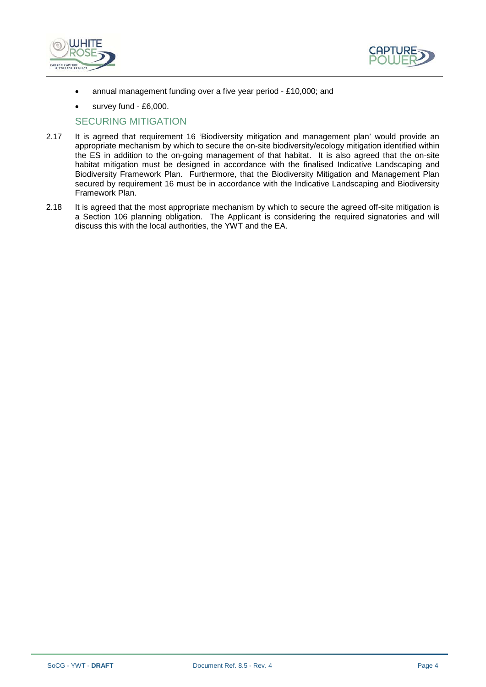



- annual management funding over a five year period £10,000; and
- survey fund £6,000.

#### SECURING MITIGATION

- 2.17 It is agreed that requirement 16 'Biodiversity mitigation and management plan' would provide an appropriate mechanism by which to secure the on-site biodiversity/ecology mitigation identified within the ES in addition to the on-going management of that habitat. It is also agreed that the on-site habitat mitigation must be designed in accordance with the finalised Indicative Landscaping and Biodiversity Framework Plan. Furthermore, that the Biodiversity Mitigation and Management Plan secured by requirement 16 must be in accordance with the Indicative Landscaping and Biodiversity Framework Plan.
- 2.18 It is agreed that the most appropriate mechanism by which to secure the agreed off-site mitigation is a Section 106 planning obligation. The Applicant is considering the required signatories and will discuss this with the local authorities, the YWT and the EA.